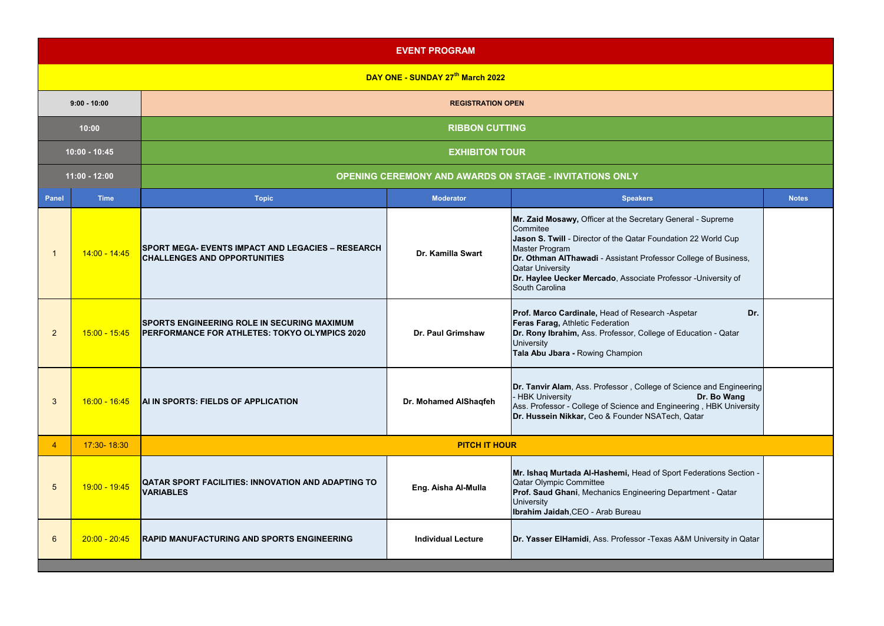| DAY ONE - SUNDAY 27th March 2022 |                        |                                                                                                     |                              |                                                                                                                                                                                                                                                                                                                                                                                         |              |  |  |
|----------------------------------|------------------------|-----------------------------------------------------------------------------------------------------|------------------------------|-----------------------------------------------------------------------------------------------------------------------------------------------------------------------------------------------------------------------------------------------------------------------------------------------------------------------------------------------------------------------------------------|--------------|--|--|
| $9:00 - 10:00$                   |                        | <b>REGISTRATION OPEN</b>                                                                            |                              |                                                                                                                                                                                                                                                                                                                                                                                         |              |  |  |
| 10:00                            |                        | <b>RIBBON CUTTING</b>                                                                               |                              |                                                                                                                                                                                                                                                                                                                                                                                         |              |  |  |
| $10:00 - 10:45$                  |                        | <b>EXHIBITON TOUR</b>                                                                               |                              |                                                                                                                                                                                                                                                                                                                                                                                         |              |  |  |
| $11:00 - 12:00$                  |                        | <b>OPENING CEREMONY AND AWARDS ON STAGE - INVITATIONS ONLY</b>                                      |                              |                                                                                                                                                                                                                                                                                                                                                                                         |              |  |  |
| <b>Panel</b>                     | <b>Time</b>            | <b>Topic</b>                                                                                        | <b>Moderator</b>             | <b>Speakers</b>                                                                                                                                                                                                                                                                                                                                                                         | <b>Notes</b> |  |  |
|                                  | 14:00 - 14:45          | SPORT MEGA- EVENTS IMPACT AND LEGACIES – RESEARCH<br><b>CHALLENGES AND OPPORTUNITIES</b>            | Dr. Kamilla Swart            | <b>Mr. Zaid Mosawy, Officer at the Secretary General - Supreme</b><br>Commitee<br><b>Jason S. Twill</b> - Director of the Qatar Foundation 22 World Cup<br><b>Master Program</b><br><b>Dr. Othman AIThawadi</b> - Assistant Professor College of Business,<br><b>Qatar University</b><br><b>Dr. Haylee Uecker Mercado, Associate Professor - University of</b><br><b>South Carolina</b> |              |  |  |
| $\overline{2}$                   | <u> 15:00 - 15:45 </u> | <b>SPORTS ENGINEERING ROLE IN SECURING MAXIMUM</b><br>PERFORMANCE FOR ATHLETES: TOKYO OLYMPICS 2020 | <b>Dr. Paul Grimshaw</b>     | <b>Prof. Marco Cardinale, Head of Research -Aspetar</b><br>Dr.<br><b>Feras Farag, Athletic Federation</b><br>Dr. Rony Ibrahim, Ass. Professor, College of Education - Qatar<br><b>University</b><br>Tala Abu Jbara - Rowing Champion                                                                                                                                                    |              |  |  |
| $\mathbf{3}$                     | <u> 16:00 - 16:45 </u> | AI IN SPORTS: FIELDS OF APPLICATION                                                                 | <b>Dr. Mohamed AlShaqfeh</b> | <b>Dr. Tanvir Alam, Ass. Professor, College of Science and Engineering</b><br>- HBK University<br>Dr. Bo Wang<br>Ass. Professor - College of Science and Engineering, HBK University<br>Dr. Hussein Nikkar, Ceo & Founder NSATech, Qatar                                                                                                                                                |              |  |  |
| $\overline{4}$                   | 17:30-18:30            | <b>PITCH IT HOUR</b>                                                                                |                              |                                                                                                                                                                                                                                                                                                                                                                                         |              |  |  |
| $5\overline{)}$                  | 19:00 - 19:45          | QATAR SPORT FACILITIES: INNOVATION AND ADAPTING TO<br><b>VARIABLES</b>                              | Eng. Aisha Al-Mulla          | <b>Mr. Ishaq Murtada Al-Hashemi, Head of Sport Federations Section -</b><br><b>Qatar Olympic Committee</b><br><b>Prof. Saud Ghani</b> , Mechanics Engineering Department - Qatar<br><b>University</b><br><b>Ibrahim Jaidah, CEO - Arab Bureau</b>                                                                                                                                       |              |  |  |
| $6 \overline{6}$                 | <u> 20:00 - 20:45 </u> | <b>RAPID MANUFACTURING AND SPORTS ENGINEERING</b>                                                   | <b>Individual Lecture</b>    | <b>Dr. Yasser ElHamidi</b> , Ass. Professor -Texas A&M University in Qatar                                                                                                                                                                                                                                                                                                              |              |  |  |

**EVENT PROGRAM**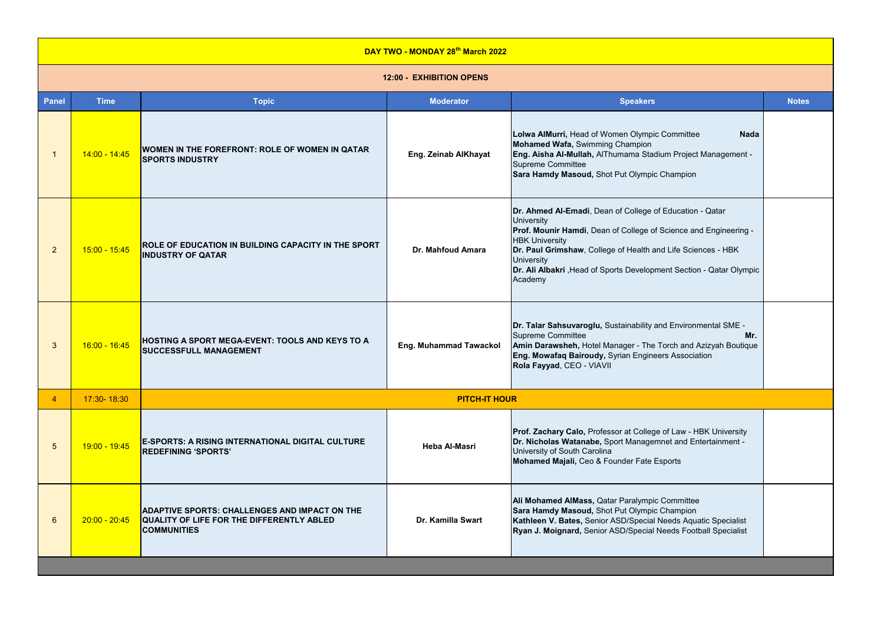| DAY TWO - MONDAY 28 <sup>th</sup> March 2022 |                       |                                                                                                                         |                               |                                                                                                                                                                                                                                                                                                                                                     |              |  |  |  |  |
|----------------------------------------------|-----------------------|-------------------------------------------------------------------------------------------------------------------------|-------------------------------|-----------------------------------------------------------------------------------------------------------------------------------------------------------------------------------------------------------------------------------------------------------------------------------------------------------------------------------------------------|--------------|--|--|--|--|
| <b>12:00 - EXHIBITION OPENS</b>              |                       |                                                                                                                         |                               |                                                                                                                                                                                                                                                                                                                                                     |              |  |  |  |  |
| <b>Panel</b>                                 | <b>Time</b>           | <b>Topic</b>                                                                                                            | <b>Moderator</b>              | <b>Speakers</b>                                                                                                                                                                                                                                                                                                                                     | <b>Notes</b> |  |  |  |  |
|                                              | 14:00 - 14:45         | <b>WOMEN IN THE FOREFRONT: ROLE OF WOMEN IN QATAR</b><br><b>SPORTS INDUSTRY</b>                                         | <b>Eng. Zeinab AlKhayat</b>   | <b>Nada</b><br><b>Lolwa AlMurri, Head of Women Olympic Committee</b><br><b>Mohamed Wafa, Swimming Champion</b><br><b>Eng. Aisha Al-Mullah, AlThumama Stadium Project Management -</b><br><b>Supreme Committee</b><br><b>Sara Hamdy Masoud, Shot Put Olympic Champion</b>                                                                            |              |  |  |  |  |
| $\overline{2}$                               | <u> 15:00 - 15:45</u> | <b>ROLE OF EDUCATION IN BUILDING CAPACITY IN THE SPORT</b><br><b>INDUSTRY OF QATAR</b>                                  | <b>Dr. Mahfoud Amara</b>      | <b>Dr. Ahmed Al-Emadi, Dean of College of Education - Qatar</b><br>University<br><b>Prof. Mounir Hamdi</b> , Dean of College of Science and Engineering -<br><b>HBK University</b><br>Dr. Paul Grimshaw, College of Health and Life Sciences - HBK<br> University<br>Dr. Ali Albakri, Head of Sports Development Section - Qatar Olympic<br>Academy |              |  |  |  |  |
| $\mathcal{S}$                                | 16:00 - 16:45         | <b>HOSTING A SPORT MEGA-EVENT: TOOLS AND KEYS TO A</b><br><b>SUCCESSFULL MANAGEMENT</b>                                 | <b>Eng. Muhammad Tawackol</b> | <b>Dr. Talar Sahsuvaroglu, Sustainability and Environmental SME -</b><br>Supreme Committee<br>Mr.<br><b>Amin Darawsheh, Hotel Manager - The Torch and Azizyah Boutique</b><br><b>Eng. Mowafaq Bairoudy, Syrian Engineers Association</b><br>Rola Fayyad, CEO - VIAVII                                                                               |              |  |  |  |  |
| $\overline{4}$                               | 17:30-18:30           | <b>PITCH-IT HOUR</b>                                                                                                    |                               |                                                                                                                                                                                                                                                                                                                                                     |              |  |  |  |  |
| $5\overline{)}$                              | <u> 19:00 - 19:45</u> | <b>E-SPORTS: A RISING INTERNATIONAL DIGITAL CULTURE</b><br><b>REDEFINING 'SPORTS'</b>                                   | <b>Heba Al-Masri</b>          | <b>Prof. Zachary Calo, Professor at College of Law - HBK University</b><br>Dr. Nicholas Watanabe, Sport Managemnet and Entertainment -<br>University of South Carolina<br><b>Mohamed Majali, Ceo &amp; Founder Fate Esports</b>                                                                                                                     |              |  |  |  |  |
| 6                                            | 20:00 - 20:45         | <b>ADAPTIVE SPORTS: CHALLENGES AND IMPACT ON THE</b><br>QUALITY OF LIFE FOR THE DIFFERENTLY ABLED<br><b>COMMUNITIES</b> | Dr. Kamilla Swart             | <b>Ali Mohamed AIMass, Qatar Paralympic Committee</b><br><b>Sara Hamdy Masoud, Shot Put Olympic Champion</b><br><b>Kathleen V. Bates, Senior ASD/Special Needs Aquatic Specialist</b><br>Ryan J. Moignard, Senior ASD/Special Needs Football Specialist                                                                                             |              |  |  |  |  |